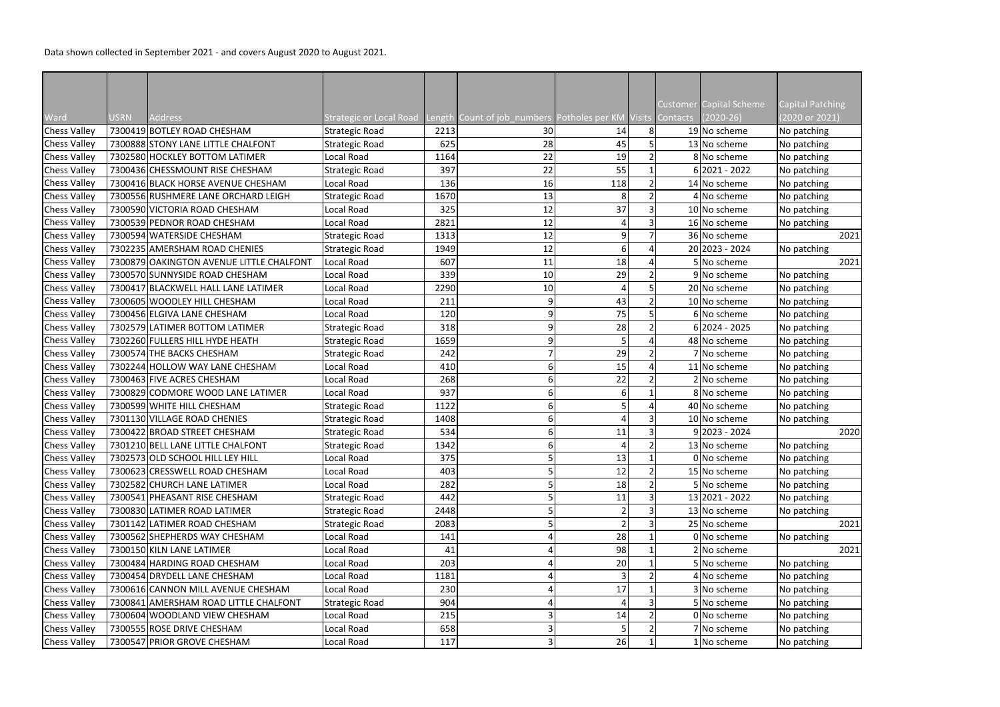Data shown collected in September 2021 - and covers August 2020 to August 2021.

| Ward                | <b>USRN</b> | <b>Address</b>                           | Strategic or Local Road Length Count of job_numbers Potholes per KM Visits Contacts |      |    |     |                | <b>Customer Capital Scheme</b><br>$(2020-26)$ | <b>Capital Patching</b><br>(2020 or 2021) |
|---------------------|-------------|------------------------------------------|-------------------------------------------------------------------------------------|------|----|-----|----------------|-----------------------------------------------|-------------------------------------------|
| <b>Chess Valley</b> |             | 7300419 BOTLEY ROAD CHESHAM              | <b>Strategic Road</b>                                                               | 2213 | 30 | 14  | 8 <sup>1</sup> | 19 No scheme                                  | No patching                               |
| <b>Chess Valley</b> |             | 7300888 STONY LANE LITTLE CHALFONT       | <b>Strategic Road</b>                                                               | 625  | 28 | 45  |                | 13 No scheme                                  | No patching                               |
| <b>Chess Valley</b> |             | 7302580 HOCKLEY BOTTOM LATIMER           | Local Road                                                                          | 1164 | 22 | 19  |                | 8 No scheme                                   | No patching                               |
| <b>Chess Valley</b> |             | 7300436 CHESSMOUNT RISE CHESHAM          | <b>Strategic Road</b>                                                               | 397  | 22 | 55  |                | $6 2021 - 2022$                               | No patching                               |
| <b>Chess Valley</b> |             | 7300416 BLACK HORSE AVENUE CHESHAM       | Local Road                                                                          | 136  | 16 | 118 |                | 14 No scheme                                  | No patching                               |
| <b>Chess Valley</b> |             | 7300556 RUSHMERE LANE ORCHARD LEIGH      | <b>Strategic Road</b>                                                               | 1670 | 13 | 8   | $\overline{2}$ | 4 No scheme                                   | No patching                               |
| <b>Chess Valley</b> |             | 7300590 VICTORIA ROAD CHESHAM            | Local Road                                                                          | 325  | 12 | 37  |                | 10 No scheme                                  | No patching                               |
| <b>Chess Valley</b> |             | 7300539 PEDNOR ROAD CHESHAM              | Local Road                                                                          | 2821 | 12 |     | $\overline{3}$ | 16 No scheme                                  | No patching                               |
| <b>Chess Valley</b> |             | 7300594 WATERSIDE CHESHAM                | <b>Strategic Road</b>                                                               | 1313 | 12 | 9   |                | 36 No scheme                                  | 2021                                      |
| <b>Chess Valley</b> |             | 7302235 AMERSHAM ROAD CHENIES            | <b>Strategic Road</b>                                                               | 1949 | 12 | 6   |                | 20 2023 - 2024                                | No patching                               |
| <b>Chess Valley</b> |             | 7300879 OAKINGTON AVENUE LITTLE CHALFONT | <b>Local Road</b>                                                                   | 607  | 11 | 18  |                | 5 No scheme                                   | 2021                                      |
|                     |             | 7300570 SUNNYSIDE ROAD CHESHAM           |                                                                                     | 339  |    |     |                | 9 No scheme                                   |                                           |
| <b>Chess Valley</b> |             |                                          | Local Road                                                                          |      | 10 | 29  |                |                                               | No patching                               |
| <b>Chess Valley</b> |             | 7300417 BLACKWELL HALL LANE LATIMER      | Local Road                                                                          | 2290 | 10 |     |                | 20 No scheme                                  | No patching                               |
| <b>Chess Valley</b> |             | 7300605 WOODLEY HILL CHESHAM             | Local Road                                                                          | 211  | 9  | 43  |                | 10 No scheme                                  | No patching                               |
| <b>Chess Valley</b> |             | 7300456 ELGIVA LANE CHESHAM              | Local Road                                                                          | 120  |    | 75  |                | 6 No scheme                                   | No patching                               |
| <b>Chess Valley</b> |             | 7302579 LATIMER BOTTOM LATIMER           | <b>Strategic Road</b>                                                               | 318  |    | 28  |                | $6 2024 - 2025$                               | No patching                               |
| <b>Chess Valley</b> |             | 7302260 FULLERS HILL HYDE HEATH          | <b>Strategic Road</b>                                                               | 1659 |    |     | Δ              | 48 No scheme                                  | No patching                               |
| <b>Chess Valley</b> |             | 7300574 THE BACKS CHESHAM                | <b>Strategic Road</b>                                                               | 242  |    | 29  |                | 7 No scheme                                   | No patching                               |
| <b>Chess Valley</b> |             | 7302244 HOLLOW WAY LANE CHESHAM          | Local Road                                                                          | 410  |    | 15  |                | 11 No scheme                                  | No patching                               |
| <b>Chess Valley</b> |             | 7300463 FIVE ACRES CHESHAM               | Local Road                                                                          | 268  |    | 22  |                | 2 No scheme                                   | No patching                               |
| <b>Chess Valley</b> |             | 7300829 CODMORE WOOD LANE LATIMER        | Local Road                                                                          | 937  | b  | 61  |                | 8 No scheme                                   | No patching                               |
| <b>Chess Valley</b> |             | 7300599 WHITE HILL CHESHAM               | Strategic Road                                                                      | 1122 |    |     |                | 40 No scheme                                  | No patching                               |
| <b>Chess Valley</b> |             | 7301130 VILLAGE ROAD CHENIES             | <b>Strategic Road</b>                                                               | 1408 |    |     | 3              | 10 No scheme                                  | No patching                               |
| <b>Chess Valley</b> |             | 7300422 BROAD STREET CHESHAM             | <b>Strategic Road</b>                                                               | 534  |    | 11  |                | $9 2023 - 2024$                               | 2020                                      |
| <b>Chess Valley</b> |             | 7301210 BELL LANE LITTLE CHALFONT        | <b>Strategic Road</b>                                                               | 1342 |    |     | $\mathcal{P}$  | 13 No scheme                                  | No patching                               |
| <b>Chess Valley</b> |             | 7302573 OLD SCHOOL HILL LEY HILL         | Local Road                                                                          | 375  |    | 13  |                | 0 No scheme                                   | No patching                               |
| <b>Chess Valley</b> |             | 7300623 CRESSWELL ROAD CHESHAM           | Local Road                                                                          | 403  |    | 12  |                | 15 No scheme                                  | No patching                               |
| <b>Chess Valley</b> |             | 7302582 CHURCH LANE LATIMER              | Local Road                                                                          | 282  |    | 18  |                | 5 No scheme                                   | No patching                               |
| <b>Chess Valley</b> |             | 7300541 PHEASANT RISE CHESHAM            | <b>Strategic Road</b>                                                               | 442  |    | 11  |                | 13 2021 - 2022                                | No patching                               |
| <b>Chess Valley</b> |             | 7300830 LATIMER ROAD LATIMER             | <b>Strategic Road</b>                                                               | 2448 |    |     | 3              | 13 No scheme                                  | No patching                               |
| <b>Chess Valley</b> |             | 7301142 LATIMER ROAD CHESHAM             | <b>Strategic Road</b>                                                               | 2083 |    |     | $\overline{3}$ | 25 No scheme                                  | 2021                                      |
| <b>Chess Valley</b> |             | 7300562 SHEPHERDS WAY CHESHAM            | Local Road                                                                          | 141  |    | 28  |                | 0 No scheme                                   | No patching                               |
| <b>Chess Valley</b> |             | 7300150 KILN LANE LATIMER                | Local Road                                                                          | 41   |    | 98  |                | 2 No scheme                                   | 2021                                      |
| <b>Chess Valley</b> |             | 7300484 HARDING ROAD CHESHAM             | Local Road                                                                          | 203  |    | 20  |                | 5 No scheme                                   | No patching                               |
| <b>Chess Valley</b> |             | 7300454 DRYDELL LANE CHESHAM             | Local Road                                                                          | 1181 |    |     |                | 4 No scheme                                   | No patching                               |
| <b>Chess Valley</b> |             | 7300616 CANNON MILL AVENUE CHESHAM       | Local Road                                                                          | 230  |    | 17  |                | 3 No scheme                                   | No patching                               |
| <b>Chess Valley</b> |             | 7300841 AMERSHAM ROAD LITTLE CHALFONT    | <b>Strategic Road</b>                                                               | 904  |    |     |                | 5 No scheme                                   | No patching                               |
| <b>Chess Valley</b> |             | 7300604 WOODLAND VIEW CHESHAM            | Local Road                                                                          | 215  |    | 14  |                | 0 No scheme                                   | No patching                               |
| <b>Chess Valley</b> |             | 7300555 ROSE DRIVE CHESHAM               | Local Road                                                                          | 658  |    |     |                | 7 No scheme                                   | No patching                               |
| <b>Chess Valley</b> |             | 7300547 PRIOR GROVE CHESHAM              | Local Road                                                                          | 117  |    | 26  |                | 1 No scheme                                   | No patching                               |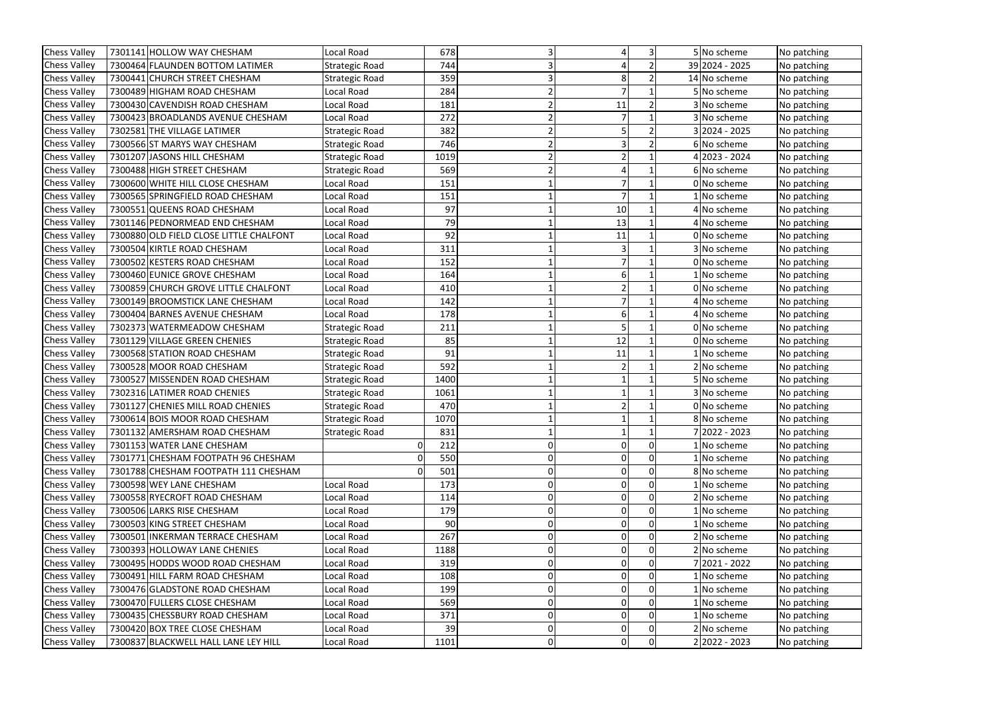| <b>Chess Valley</b> | 7301141 HOLLOW WAY CHESHAM              | Local Road            | 678  |   |    | $\overline{3}$ | 5 No scheme     | No patching |
|---------------------|-----------------------------------------|-----------------------|------|---|----|----------------|-----------------|-------------|
| <b>Chess Valley</b> | 7300464 FLAUNDEN BOTTOM LATIMER         | <b>Strategic Road</b> | 744  |   |    |                | 39 2024 - 2025  | No patching |
| <b>Chess Valley</b> | 7300441 CHURCH STREET CHESHAM           | <b>Strategic Road</b> | 359  |   |    |                | 14 No scheme    | No patching |
| <b>Chess Valley</b> | 7300489 HIGHAM ROAD CHESHAM             | Local Road            | 284  |   |    |                | 5 No scheme     | No patching |
| <b>Chess Valley</b> | 7300430 CAVENDISH ROAD CHESHAM          | Local Road            | 181  |   | 11 |                | 3 No scheme     | No patching |
| <b>Chess Valley</b> | 7300423 BROADLANDS AVENUE CHESHAM       | Local Road            | 272  |   |    |                | 3 No scheme     | No patching |
| <b>Chess Valley</b> | 7302581 THE VILLAGE LATIMER             | <b>Strategic Road</b> | 382  |   |    |                | $3 2024 - 2025$ | No patching |
| <b>Chess Valley</b> | 7300566 ST MARYS WAY CHESHAM            | <b>Strategic Road</b> | 746  |   |    |                | 6 No scheme     | No patching |
| <b>Chess Valley</b> | 7301207 JASONS HILL CHESHAM             | <b>Strategic Road</b> | 1019 |   |    |                | 4 2023 - 2024   | No patching |
| <b>Chess Valley</b> | 7300488 HIGH STREET CHESHAM             | <b>Strategic Road</b> | 569  |   |    |                | 6 No scheme     | No patching |
| <b>Chess Valley</b> | 7300600 WHITE HILL CLOSE CHESHAM        | Local Road            | 151  |   |    |                | 0 No scheme     | No patching |
| <b>Chess Valley</b> | 7300565 SPRINGFIELD ROAD CHESHAM        | Local Road            | 151  |   |    |                | 1 No scheme     | No patching |
| <b>Chess Valley</b> | 7300551 QUEENS ROAD CHESHAM             | Local Road            | 97   |   | 10 |                | 4 No scheme     | No patching |
| <b>Chess Valley</b> | 7301146 PEDNORMEAD END CHESHAM          | Local Road            | 79   |   | 13 |                | 4 No scheme     | No patching |
| <b>Chess Valley</b> | 7300880 OLD FIELD CLOSE LITTLE CHALFONT | Local Road            | 92   |   | 11 |                | 0 No scheme     | No patching |
| <b>Chess Valley</b> | 7300504 KIRTLE ROAD CHESHAM             | Local Road            | 311  |   |    |                | 3 No scheme     | No patching |
| <b>Chess Valley</b> | 7300502 KESTERS ROAD CHESHAM            | Local Road            | 152  |   |    |                | 0 No scheme     | No patching |
| <b>Chess Valley</b> | 7300460 EUNICE GROVE CHESHAM            | Local Road            | 164  |   |    |                | 1 No scheme     | No patching |
| <b>Chess Valley</b> | 7300859 CHURCH GROVE LITTLE CHALFONT    | Local Road            | 410  |   |    |                | 0 No scheme     | No patching |
| <b>Chess Valley</b> | 7300149 BROOMSTICK LANE CHESHAM         | Local Road            | 142  |   |    |                | 4 No scheme     | No patching |
| <b>Chess Valley</b> | 7300404 BARNES AVENUE CHESHAM           | Local Road            | 178  |   |    |                | 4 No scheme     | No patching |
| <b>Chess Valley</b> | 7302373 WATERMEADOW CHESHAM             | <b>Strategic Road</b> | 211  |   |    |                | 0 No scheme     | No patching |
| <b>Chess Valley</b> | 7301129 VILLAGE GREEN CHENIES           | <b>Strategic Road</b> | 85   |   | 12 |                | 0 No scheme     | No patching |
| <b>Chess Valley</b> | 7300568 STATION ROAD CHESHAM            | <b>Strategic Road</b> | 91   |   | 11 |                | 1 No scheme     | No patching |
| <b>Chess Valley</b> | 7300528 MOOR ROAD CHESHAM               | <b>Strategic Road</b> | 592  |   |    |                | 2 No scheme     | No patching |
| <b>Chess Valley</b> | 7300527 MISSENDEN ROAD CHESHAM          | <b>Strategic Road</b> | 1400 |   |    |                | 5 No scheme     | No patching |
| <b>Chess Valley</b> | 7302316 LATIMER ROAD CHENIES            | <b>Strategic Road</b> | 1061 |   |    |                | 3 No scheme     | No patching |
| <b>Chess Valley</b> | 7301127 CHENIES MILL ROAD CHENIES       | <b>Strategic Road</b> | 470  |   |    |                | 0 No scheme     | No patching |
| <b>Chess Valley</b> | 7300614 BOIS MOOR ROAD CHESHAM          | <b>Strategic Road</b> | 1070 |   |    |                | 8 No scheme     | No patching |
| <b>Chess Valley</b> | 7301132 AMERSHAM ROAD CHESHAM           | Strategic Road        | 831  |   |    |                | 7 2022 - 2023   | No patching |
| <b>Chess Valley</b> | 7301153 WATER LANE CHESHAM              | 0                     | 212  |   |    | $\overline{0}$ | 1 No scheme     | No patching |
| <b>Chess Valley</b> | 7301771 CHESHAM FOOTPATH 96 CHESHAM     | 0                     | 550  |   |    |                | 1 No scheme     | No patching |
| <b>Chess Valley</b> | 7301788 CHESHAM FOOTPATH 111 CHESHAM    | 0                     | 501  |   |    | $\overline{0}$ | 8 No scheme     | No patching |
| <b>Chess Valley</b> | 7300598 WEY LANE CHESHAM                | Local Road            | 173  |   |    |                | 1 No scheme     | No patching |
| <b>Chess Valley</b> | 7300558 RYECROFT ROAD CHESHAM           | Local Road            | 114  |   |    | 0              | 2 No scheme     | No patching |
| <b>Chess Valley</b> | 7300506 LARKS RISE CHESHAM              | Local Road            | 179  |   |    |                | 1 No scheme     | No patching |
| <b>Chess Valley</b> | 7300503 KING STREET CHESHAM             | Local Road            | 90   |   |    |                | 1 No scheme     | No patching |
| <b>Chess Valley</b> | 7300501 INKERMAN TERRACE CHESHAM        | Local Road            | 267  |   |    | $\overline{0}$ | 2 No scheme     | No patching |
| <b>Chess Valley</b> | 7300393 HOLLOWAY LANE CHENIES           | Local Road            | 1188 |   |    |                | 2 No scheme     | No patching |
| <b>Chess Valley</b> | 7300495 HODDS WOOD ROAD CHESHAM         | Local Road            | 319  |   |    | $\overline{0}$ | 7 2021 - 2022   | No patching |
| <b>Chess Valley</b> | 7300491 HILL FARM ROAD CHESHAM          | Local Road            | 108  |   | 0  | $\overline{0}$ | 1 No scheme     | No patching |
| <b>Chess Valley</b> | 7300476 GLADSTONE ROAD CHESHAM          | Local Road            | 199  |   |    |                | 1 No scheme     | No patching |
| <b>Chess Valley</b> | 7300470 FULLERS CLOSE CHESHAM           | Local Road            | 569  |   |    | $\overline{0}$ | 1 No scheme     | No patching |
| <b>Chess Valley</b> | 7300435 CHESSBURY ROAD CHESHAM          | Local Road            | 371  |   |    |                | 1 No scheme     | No patching |
| <b>Chess Valley</b> | 7300420 BOX TREE CLOSE CHESHAM          | Local Road            | 39   |   |    | $\overline{0}$ | 2 No scheme     | No patching |
| <b>Chess Valley</b> | 7300837 BLACKWELL HALL LANE LEY HILL    | Local Road            | 1101 | 0 | 0  | 0              | 2 2022 - 2023   | No patching |